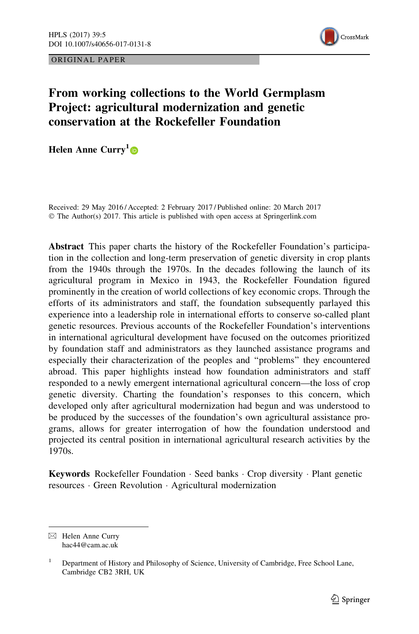ORIGINAL PAPER



# From working collections to the World Germplasm Project: agricultural modernization and genetic conservation at the Rockefeller Foundation

Helen Anne Curry<sup>1</sup><sup>o</sup>

Received: 29 May 2016 / Accepted: 2 February 2017 / Published online: 20 March 2017 © The Author(s) 2017. This article is published with open access at Springerlink.com

Abstract This paper charts the history of the Rockefeller Foundation's participation in the collection and long-term preservation of genetic diversity in crop plants from the 1940s through the 1970s. In the decades following the launch of its agricultural program in Mexico in 1943, the Rockefeller Foundation figured prominently in the creation of world collections of key economic crops. Through the efforts of its administrators and staff, the foundation subsequently parlayed this experience into a leadership role in international efforts to conserve so-called plant genetic resources. Previous accounts of the Rockefeller Foundation's interventions in international agricultural development have focused on the outcomes prioritized by foundation staff and administrators as they launched assistance programs and especially their characterization of the peoples and ''problems'' they encountered abroad. This paper highlights instead how foundation administrators and staff responded to a newly emergent international agricultural concern—the loss of crop genetic diversity. Charting the foundation's responses to this concern, which developed only after agricultural modernization had begun and was understood to be produced by the successes of the foundation's own agricultural assistance programs, allows for greater interrogation of how the foundation understood and projected its central position in international agricultural research activities by the 1970s.

Keywords Rockefeller Foundation · Seed banks · Crop diversity · Plant genetic resources - Green Revolution - Agricultural modernization

& Helen Anne Curry hac44@cam.ac.uk

<sup>&</sup>lt;sup>1</sup> Department of History and Philosophy of Science, University of Cambridge, Free School Lane, Cambridge CB2 3RH, UK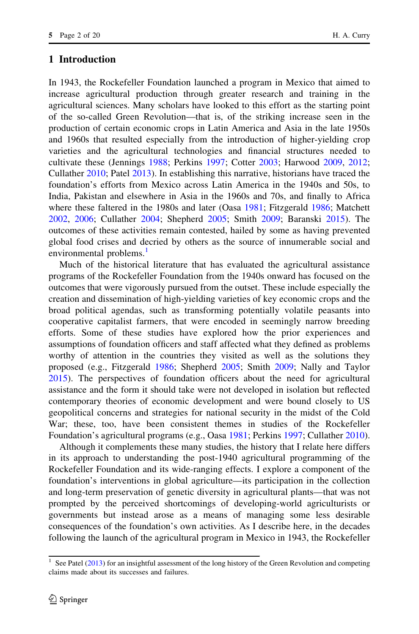### 1 Introduction

In 1943, the Rockefeller Foundation launched a program in Mexico that aimed to increase agricultural production through greater research and training in the agricultural sciences. Many scholars have looked to this effort as the starting point of the so-called Green Revolution—that is, of the striking increase seen in the production of certain economic crops in Latin America and Asia in the late 1950s and 1960s that resulted especially from the introduction of higher-yielding crop varieties and the agricultural technologies and financial structures needed to cultivate these (Jennings [1988;](#page-18-0) Perkins [1997](#page-18-0); Cotter [2003;](#page-17-0) Harwood [2009](#page-18-0), [2012;](#page-18-0) Cullather [2010;](#page-18-0) Patel [2013\)](#page-18-0). In establishing this narrative, historians have traced the foundation's efforts from Mexico across Latin America in the 1940s and 50s, to India, Pakistan and elsewhere in Asia in the 1960s and 70s, and finally to Africa where these faltered in the 1980s and later (Oasa [1981](#page-18-0); Fitzgerald [1986;](#page-18-0) Matchett [2002,](#page-18-0) [2006](#page-18-0); Cullather [2004;](#page-18-0) Shepherd [2005](#page-18-0); Smith [2009](#page-19-0); Baranski [2015](#page-17-0)). The outcomes of these activities remain contested, hailed by some as having prevented global food crises and decried by others as the source of innumerable social and environmental problems.<sup>1</sup>

Much of the historical literature that has evaluated the agricultural assistance programs of the Rockefeller Foundation from the 1940s onward has focused on the outcomes that were vigorously pursued from the outset. These include especially the creation and dissemination of high-yielding varieties of key economic crops and the broad political agendas, such as transforming potentially volatile peasants into cooperative capitalist farmers, that were encoded in seemingly narrow breeding efforts. Some of these studies have explored how the prior experiences and assumptions of foundation officers and staff affected what they defined as problems worthy of attention in the countries they visited as well as the solutions they proposed (e.g., Fitzgerald [1986](#page-18-0); Shepherd [2005](#page-18-0); Smith [2009](#page-19-0); Nally and Taylor [2015\)](#page-18-0). The perspectives of foundation officers about the need for agricultural assistance and the form it should take were not developed in isolation but reflected contemporary theories of economic development and were bound closely to US geopolitical concerns and strategies for national security in the midst of the Cold War; these, too, have been consistent themes in studies of the Rockefeller Foundation's agricultural programs (e.g., Oasa [1981](#page-18-0); Perkins [1997;](#page-18-0) Cullather [2010\)](#page-18-0).

Although it complements these many studies, the history that I relate here differs in its approach to understanding the post-1940 agricultural programming of the Rockefeller Foundation and its wide-ranging effects. I explore a component of the foundation's interventions in global agriculture—its participation in the collection and long-term preservation of genetic diversity in agricultural plants—that was not prompted by the perceived shortcomings of developing-world agriculturists or governments but instead arose as a means of managing some less desirable consequences of the foundation's own activities. As I describe here, in the decades following the launch of the agricultural program in Mexico in 1943, the Rockefeller

See Patel ([2013\)](#page-18-0) for an insightful assessment of the long history of the Green Revolution and competing claims made about its successes and failures.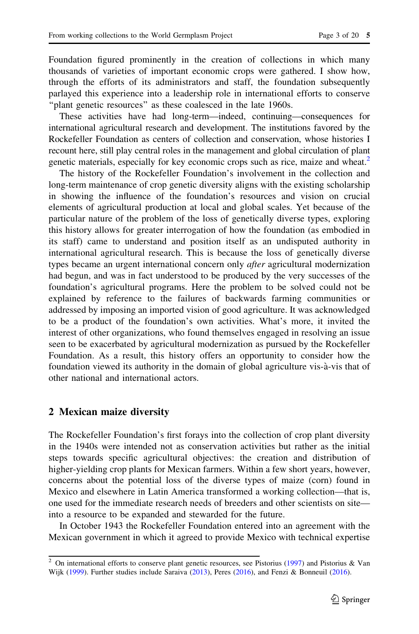Foundation figured prominently in the creation of collections in which many thousands of varieties of important economic crops were gathered. I show how, through the efforts of its administrators and staff, the foundation subsequently parlayed this experience into a leadership role in international efforts to conserve "plant genetic resources" as these coalesced in the late 1960s.

These activities have had long-term—indeed, continuing—consequences for international agricultural research and development. The institutions favored by the Rockefeller Foundation as centers of collection and conservation, whose histories I recount here, still play central roles in the management and global circulation of plant genetic materials, especially for key economic crops such as rice, maize and wheat.<sup>2</sup>

The history of the Rockefeller Foundation's involvement in the collection and long-term maintenance of crop genetic diversity aligns with the existing scholarship in showing the influence of the foundation's resources and vision on crucial elements of agricultural production at local and global scales. Yet because of the particular nature of the problem of the loss of genetically diverse types, exploring this history allows for greater interrogation of how the foundation (as embodied in its staff) came to understand and position itself as an undisputed authority in international agricultural research. This is because the loss of genetically diverse types became an urgent international concern only *after* agricultural modernization had begun, and was in fact understood to be produced by the very successes of the foundation's agricultural programs. Here the problem to be solved could not be explained by reference to the failures of backwards farming communities or addressed by imposing an imported vision of good agriculture. It was acknowledged to be a product of the foundation's own activities. What's more, it invited the interest of other organizations, who found themselves engaged in resolving an issue seen to be exacerbated by agricultural modernization as pursued by the Rockefeller Foundation. As a result, this history offers an opportunity to consider how the foundation viewed its authority in the domain of global agriculture vis-à-vis that of other national and international actors.

## 2 Mexican maize diversity

The Rockefeller Foundation's first forays into the collection of crop plant diversity in the 1940s were intended not as conservation activities but rather as the initial steps towards specific agricultural objectives: the creation and distribution of higher-yielding crop plants for Mexican farmers. Within a few short years, however, concerns about the potential loss of the diverse types of maize (corn) found in Mexico and elsewhere in Latin America transformed a working collection—that is, one used for the immediate research needs of breeders and other scientists on site into a resource to be expanded and stewarded for the future.

In October 1943 the Rockefeller Foundation entered into an agreement with the Mexican government in which it agreed to provide Mexico with technical expertise

<sup>&</sup>lt;sup>2</sup> On international efforts to conserve plant genetic resources, see Pistorius ([1997\)](#page-18-0) and Pistorius & Van Wijk [\(1999](#page-18-0)). Further studies include Saraiva ([2013\)](#page-18-0), Peres [\(2016](#page-18-0)), and Fenzi & Bonneuil ([2016](#page-18-0)).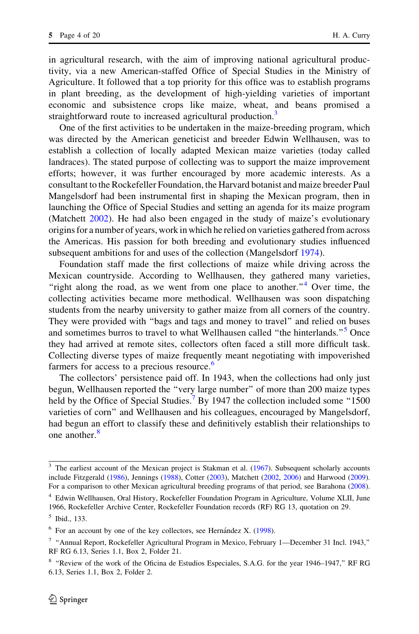in agricultural research, with the aim of improving national agricultural productivity, via a new American-staffed Office of Special Studies in the Ministry of Agriculture. It followed that a top priority for this office was to establish programs in plant breeding, as the development of high-yielding varieties of important economic and subsistence crops like maize, wheat, and beans promised a straightforward route to increased agricultural production.<sup>3</sup>

One of the first activities to be undertaken in the maize-breeding program, which was directed by the American geneticist and breeder Edwin Wellhausen, was to establish a collection of locally adapted Mexican maize varieties (today called landraces). The stated purpose of collecting was to support the maize improvement efforts; however, it was further encouraged by more academic interests. As a consultant to the Rockefeller Foundation, the Harvard botanist and maize breeder Paul Mangelsdorf had been instrumental first in shaping the Mexican program, then in launching the Office of Special Studies and setting an agenda for its maize program (Matchett [2002\)](#page-18-0). He had also been engaged in the study of maize's evolutionary origins for a number of years, work in which he relied on varieties gathered from across the Americas. His passion for both breeding and evolutionary studies influenced subsequent ambitions for and uses of the collection (Mangelsdorf [1974](#page-18-0)).

Foundation staff made the first collections of maize while driving across the Mexican countryside. According to Wellhausen, they gathered many varieties, "right along the road, as we went from one place to another."<sup>4</sup> Over time, the collecting activities became more methodical. Wellhausen was soon dispatching students from the nearby university to gather maize from all corners of the country. They were provided with ''bags and tags and money to travel'' and relied on buses and sometimes burros to travel to what Wellhausen called ''the hinterlands.''5 Once they had arrived at remote sites, collectors often faced a still more difficult task. Collecting diverse types of maize frequently meant negotiating with impoverished farmers for access to a precious resource.<sup>6</sup>

The collectors' persistence paid off. In 1943, when the collections had only just begun, Wellhausen reported the ''very large number'' of more than 200 maize types held by the Office of Special Studies.<sup>7</sup> By 1947 the collection included some "1500" varieties of corn'' and Wellhausen and his colleagues, encouraged by Mangelsdorf, had begun an effort to classify these and definitively establish their relationships to one another.<sup>8</sup>

<sup>&</sup>lt;sup>3</sup> The earliest account of the Mexican project is Stakman et al. [\(1967](#page-19-0)). Subsequent scholarly accounts include Fitzgerald ([1986\)](#page-18-0), Jennings [\(1988](#page-18-0)), Cotter ([2003\)](#page-17-0), Matchett ([2002,](#page-18-0) [2006](#page-18-0)) and Harwood ([2009\)](#page-18-0). For a comparison to other Mexican agricultural breeding programs of that period, see Barahona ([2008\)](#page-17-0).

<sup>4</sup> Edwin Wellhausen, Oral History, Rockefeller Foundation Program in Agriculture, Volume XLII, June 1966, Rockefeller Archive Center, Rockefeller Foundation records (RF) RG 13, quotation on 29.

<sup>5</sup> Ibid., 133.

 $6$  For an account by one of the key collectors, see Hernández X. ([1998\)](#page-18-0).

<sup>&</sup>lt;sup>7</sup> "Annual Report, Rockefeller Agricultural Program in Mexico, February 1—December 31 Incl. 1943," RF RG 6.13, Series 1.1, Box 2, Folder 21.

<sup>&</sup>lt;sup>8</sup> "Review of the work of the Oficina de Estudios Especiales, S.A.G. for the year 1946–1947," RF RG 6.13, Series 1.1, Box 2, Folder 2.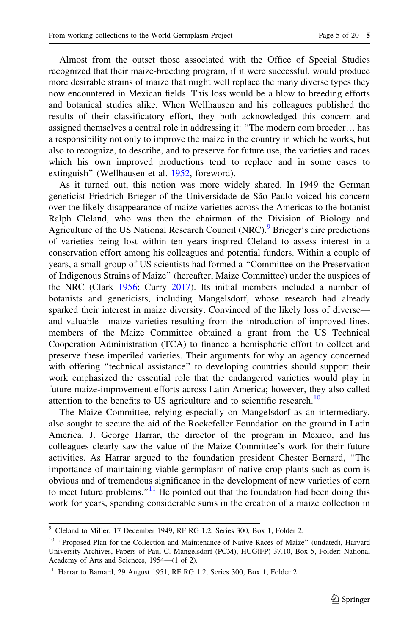Almost from the outset those associated with the Office of Special Studies recognized that their maize-breeding program, if it were successful, would produce more desirable strains of maize that might well replace the many diverse types they now encountered in Mexican fields. This loss would be a blow to breeding efforts and botanical studies alike. When Wellhausen and his colleagues published the results of their classificatory effort, they both acknowledged this concern and assigned themselves a central role in addressing it: ''The modern corn breeder… has a responsibility not only to improve the maize in the country in which he works, but also to recognize, to describe, and to preserve for future use, the varieties and races which his own improved productions tend to replace and in some cases to extinguish'' (Wellhausen et al. [1952](#page-19-0), foreword).

As it turned out, this notion was more widely shared. In 1949 the German geneticist Friedrich Brieger of the Universidade de São Paulo voiced his concern over the likely disappearance of maize varieties across the Americas to the botanist Ralph Cleland, who was then the chairman of the Division of Biology and Agriculture of the US National Research Council (NRC). Brieger's dire predictions of varieties being lost within ten years inspired Cleland to assess interest in a conservation effort among his colleagues and potential funders. Within a couple of years, a small group of US scientists had formed a ''Committee on the Preservation of Indigenous Strains of Maize'' (hereafter, Maize Committee) under the auspices of the NRC (Clark [1956](#page-17-0); Curry [2017](#page-18-0)). Its initial members included a number of botanists and geneticists, including Mangelsdorf, whose research had already sparked their interest in maize diversity. Convinced of the likely loss of diverse and valuable—maize varieties resulting from the introduction of improved lines, members of the Maize Committee obtained a grant from the US Technical Cooperation Administration (TCA) to finance a hemispheric effort to collect and preserve these imperiled varieties. Their arguments for why an agency concerned with offering "technical assistance" to developing countries should support their work emphasized the essential role that the endangered varieties would play in future maize-improvement efforts across Latin America; however, they also called attention to the benefits to US agriculture and to scientific research.<sup>10</sup>

The Maize Committee, relying especially on Mangelsdorf as an intermediary, also sought to secure the aid of the Rockefeller Foundation on the ground in Latin America. J. George Harrar, the director of the program in Mexico, and his colleagues clearly saw the value of the Maize Committee's work for their future activities. As Harrar argued to the foundation president Chester Bernard, ''The importance of maintaining viable germplasm of native crop plants such as corn is obvious and of tremendous significance in the development of new varieties of corn to meet future problems."<sup>11</sup> He pointed out that the foundation had been doing this work for years, spending considerable sums in the creation of a maize collection in

<sup>9</sup> Cleland to Miller, 17 December 1949, RF RG 1.2, Series 300, Box 1, Folder 2.

<sup>&</sup>lt;sup>10</sup> "Proposed Plan for the Collection and Maintenance of Native Races of Maize" (undated), Harvard University Archives, Papers of Paul C. Mangelsdorf (PCM), HUG(FP) 37.10, Box 5, Folder: National Academy of Arts and Sciences, 1954—(1 of 2).

<sup>&</sup>lt;sup>11</sup> Harrar to Barnard, 29 August 1951, RF RG 1.2, Series 300, Box 1, Folder 2.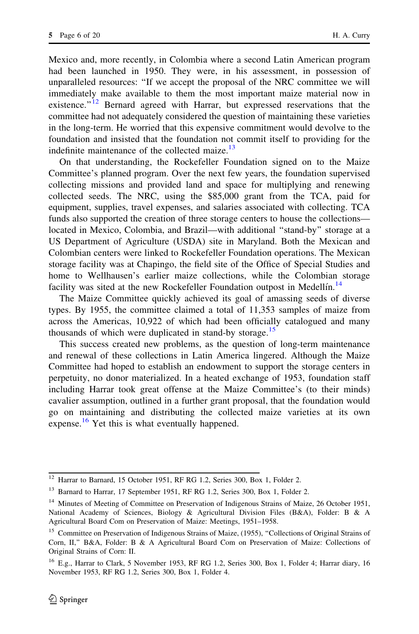Mexico and, more recently, in Colombia where a second Latin American program had been launched in 1950. They were, in his assessment, in possession of unparalleled resources: ''If we accept the proposal of the NRC committee we will immediately make available to them the most important maize material now in existence."<sup>12</sup> Bernard agreed with Harrar, but expressed reservations that the committee had not adequately considered the question of maintaining these varieties in the long-term. He worried that this expensive commitment would devolve to the foundation and insisted that the foundation not commit itself to providing for the indefinite maintenance of the collected maize. $^{13}$ 

On that understanding, the Rockefeller Foundation signed on to the Maize Committee's planned program. Over the next few years, the foundation supervised collecting missions and provided land and space for multiplying and renewing collected seeds. The NRC, using the \$85,000 grant from the TCA, paid for equipment, supplies, travel expenses, and salaries associated with collecting. TCA funds also supported the creation of three storage centers to house the collections located in Mexico, Colombia, and Brazil—with additional ''stand-by'' storage at a US Department of Agriculture (USDA) site in Maryland. Both the Mexican and Colombian centers were linked to Rockefeller Foundation operations. The Mexican storage facility was at Chapingo, the field site of the Office of Special Studies and home to Wellhausen's earlier maize collections, while the Colombian storage facility was sited at the new Rockefeller Foundation outpost in Medellín.<sup>14</sup>

The Maize Committee quickly achieved its goal of amassing seeds of diverse types. By 1955, the committee claimed a total of 11,353 samples of maize from across the Americas, 10,922 of which had been officially catalogued and many thousands of which were duplicated in stand-by storage.<sup>15</sup>

This success created new problems, as the question of long-term maintenance and renewal of these collections in Latin America lingered. Although the Maize Committee had hoped to establish an endowment to support the storage centers in perpetuity, no donor materialized. In a heated exchange of 1953, foundation staff including Harrar took great offense at the Maize Committee's (to their minds) cavalier assumption, outlined in a further grant proposal, that the foundation would go on maintaining and distributing the collected maize varieties at its own expense.<sup>16</sup> Yet this is what eventually happened.

<sup>12</sup> Harrar to Barnard, 15 October 1951, RF RG 1.2, Series 300, Box 1, Folder 2.

<sup>&</sup>lt;sup>13</sup> Barnard to Harrar, 17 September 1951, RF RG 1.2, Series 300, Box 1, Folder 2.

<sup>&</sup>lt;sup>14</sup> Minutes of Meeting of Committee on Preservation of Indigenous Strains of Maize, 26 October 1951, National Academy of Sciences, Biology & Agricultural Division Files (B&A), Folder: B & A Agricultural Board Com on Preservation of Maize: Meetings, 1951–1958.

<sup>&</sup>lt;sup>15</sup> Committee on Preservation of Indigenous Strains of Maize, (1955), "Collections of Original Strains of Corn, II,'' B&A, Folder: B & A Agricultural Board Com on Preservation of Maize: Collections of Original Strains of Corn: II.

<sup>16</sup> E.g., Harrar to Clark, 5 November 1953, RF RG 1.2, Series 300, Box 1, Folder 4; Harrar diary, 16 November 1953, RF RG 1.2, Series 300, Box 1, Folder 4.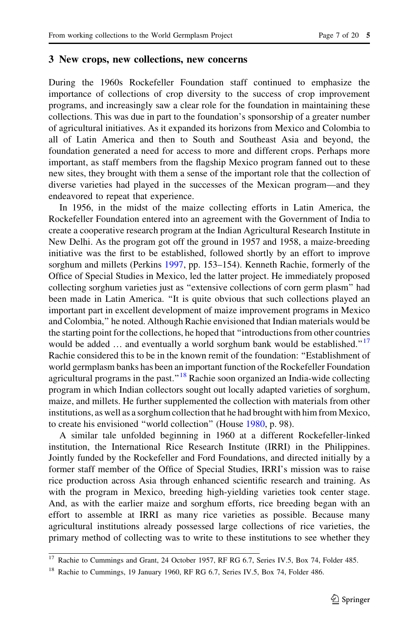#### 3 New crops, new collections, new concerns

During the 1960s Rockefeller Foundation staff continued to emphasize the importance of collections of crop diversity to the success of crop improvement programs, and increasingly saw a clear role for the foundation in maintaining these collections. This was due in part to the foundation's sponsorship of a greater number of agricultural initiatives. As it expanded its horizons from Mexico and Colombia to all of Latin America and then to South and Southeast Asia and beyond, the foundation generated a need for access to more and different crops. Perhaps more important, as staff members from the flagship Mexico program fanned out to these new sites, they brought with them a sense of the important role that the collection of diverse varieties had played in the successes of the Mexican program—and they endeavored to repeat that experience.

In 1956, in the midst of the maize collecting efforts in Latin America, the Rockefeller Foundation entered into an agreement with the Government of India to create a cooperative research program at the Indian Agricultural Research Institute in New Delhi. As the program got off the ground in 1957 and 1958, a maize-breeding initiative was the first to be established, followed shortly by an effort to improve sorghum and millets (Perkins [1997,](#page-18-0) pp. 153–154). Kenneth Rachie, formerly of the Office of Special Studies in Mexico, led the latter project. He immediately proposed collecting sorghum varieties just as ''extensive collections of corn germ plasm'' had been made in Latin America. ''It is quite obvious that such collections played an important part in excellent development of maize improvement programs in Mexico and Colombia,'' he noted. Although Rachie envisioned that Indian materials would be the starting point for the collections, he hoped that ''introductions from other countries would be added ... and eventually a world sorghum bank would be established."<sup>17</sup> Rachie considered this to be in the known remit of the foundation: ''Establishment of world germplasm banks has been an important function of the Rockefeller Foundation agricultural programs in the past."<sup>18</sup> Rachie soon organized an India-wide collecting program in which Indian collectors sought out locally adapted varieties of sorghum, maize, and millets. He further supplemented the collection with materials from other institutions, as well as a sorghum collection that he had brought with him from Mexico, to create his envisioned ''world collection'' (House [1980,](#page-18-0) p. 98).

A similar tale unfolded beginning in 1960 at a different Rockefeller-linked institution, the International Rice Research Institute (IRRI) in the Philippines. Jointly funded by the Rockefeller and Ford Foundations, and directed initially by a former staff member of the Office of Special Studies, IRRI's mission was to raise rice production across Asia through enhanced scientific research and training. As with the program in Mexico, breeding high-yielding varieties took center stage. And, as with the earlier maize and sorghum efforts, rice breeding began with an effort to assemble at IRRI as many rice varieties as possible. Because many agricultural institutions already possessed large collections of rice varieties, the primary method of collecting was to write to these institutions to see whether they

<sup>&</sup>lt;sup>17</sup> Rachie to Cummings and Grant, 24 October 1957, RF RG 6.7, Series IV.5, Box 74, Folder 485.

<sup>&</sup>lt;sup>18</sup> Rachie to Cummings, 19 January 1960, RF RG 6.7, Series IV.5, Box 74, Folder 486.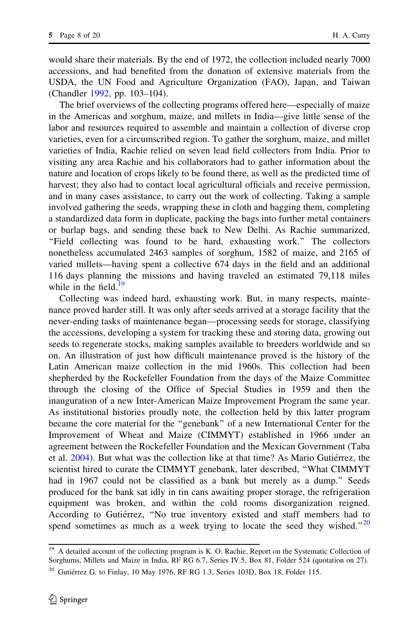would share their materials. By the end of 1972, the collection included nearly 7000 accessions, and had benefited from the donation of extensive materials from the USDA, the UN Food and Agriculture Organization (FAO), Japan, and Taiwan (Chandler [1992](#page-17-0), pp. 103–104).

The brief overviews of the collecting programs offered here—especially of maize in the Americas and sorghum, maize, and millets in India—give little sense of the labor and resources required to assemble and maintain a collection of diverse crop varieties, even for a circumscribed region. To gather the sorghum, maize, and millet varieties of India, Rachie relied on seven lead field collectors from India. Prior to visiting any area Rachie and his collaborators had to gather information about the nature and location of crops likely to be found there, as well as the predicted time of harvest; they also had to contact local agricultural officials and receive permission, and in many cases assistance, to carry out the work of collecting. Taking a sample involved gathering the seeds, wrapping these in cloth and bagging them, completing a standardized data form in duplicate, packing the bags into further metal containers or burlap bags, and sending these back to New Delhi. As Rachie summarized, "Field collecting was found to be hard, exhausting work." The collectors nonetheless accumulated 2463 samples of sorghum, 1582 of maize, and 2165 of varied millets—having spent a collective 674 days in the field and an additional 116 days planning the missions and having traveled an estimated 79,118 miles while in the field. $19$ 

Collecting was indeed hard, exhausting work. But, in many respects, maintenance proved harder still. It was only after seeds arrived at a storage facility that the never-ending tasks of maintenance began—processing seeds for storage, classifying the accessions, developing a system for tracking these and storing data, growing out seeds to regenerate stocks, making samples available to breeders worldwide and so on. An illustration of just how difficult maintenance proved is the history of the Latin American maize collection in the mid 1960s. This collection had been shepherded by the Rockefeller Foundation from the days of the Maize Committee through the closing of the Office of Special Studies in 1959 and then the inauguration of a new Inter-American Maize Improvement Program the same year. As institutional histories proudly note, the collection held by this latter program became the core material for the ''genebank'' of a new International Center for the Improvement of Wheat and Maize (CIMMYT) established in 1966 under an agreement between the Rockefeller Foundation and the Mexican Government (Taba et al.  $2004$ ). But what was the collection like at that time? As Mario Gutiérrez, the scientist hired to curate the CIMMYT genebank, later described, ''What CIMMYT had in 1967 could not be classified as a bank but merely as a dump.'' Seeds produced for the bank sat idly in tin cans awaiting proper storage, the refrigeration equipment was broken, and within the cold rooms disorganization reigned. According to Gutiérrez, "No true inventory existed and staff members had to spend sometimes as much as a week trying to locate the seed they wished. $^{20}$ 

<sup>&</sup>lt;sup>19</sup> A detailed account of the collecting program is K. O. Rachie, Report on the Systematic Collection of Sorghums, Millets and Maize in India, RF RG 6.7, Series IV.5, Box 81, Folder 524 (quotation on 27).

 $20$  Gutiérrez G. to Finlay, 10 May 1976, RF RG 1.3, Series 103D, Box 18, Folder 115.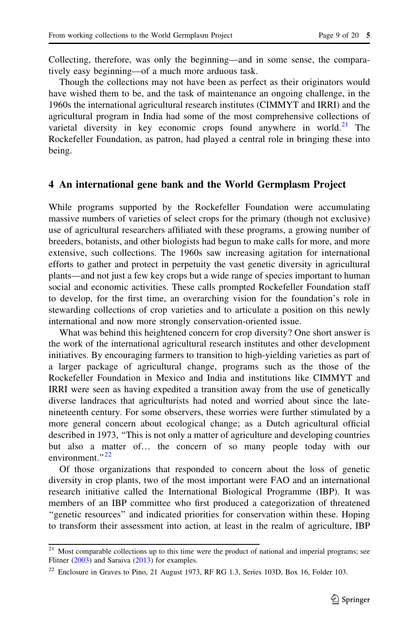Collecting, therefore, was only the beginning—and in some sense, the comparatively easy beginning—of a much more arduous task.

Though the collections may not have been as perfect as their originators would have wished them to be, and the task of maintenance an ongoing challenge, in the 1960s the international agricultural research institutes (CIMMYT and IRRI) and the agricultural program in India had some of the most comprehensive collections of varietal diversity in key economic crops found anywhere in world. $21$  The Rockefeller Foundation, as patron, had played a central role in bringing these into being.

#### 4 An international gene bank and the World Germplasm Project

While programs supported by the Rockefeller Foundation were accumulating massive numbers of varieties of select crops for the primary (though not exclusive) use of agricultural researchers affiliated with these programs, a growing number of breeders, botanists, and other biologists had begun to make calls for more, and more extensive, such collections. The 1960s saw increasing agitation for international efforts to gather and protect in perpetuity the vast genetic diversity in agricultural plants—and not just a few key crops but a wide range of species important to human social and economic activities. These calls prompted Rockefeller Foundation staff to develop, for the first time, an overarching vision for the foundation's role in stewarding collections of crop varieties and to articulate a position on this newly international and now more strongly conservation-oriented issue.

What was behind this heightened concern for crop diversity? One short answer is the work of the international agricultural research institutes and other development initiatives. By encouraging farmers to transition to high-yielding varieties as part of a larger package of agricultural change, programs such as the those of the Rockefeller Foundation in Mexico and India and institutions like CIMMYT and IRRI were seen as having expedited a transition away from the use of genetically diverse landraces that agriculturists had noted and worried about since the latenineteenth century. For some observers, these worries were further stimulated by a more general concern about ecological change; as a Dutch agricultural official described in 1973, ''This is not only a matter of agriculture and developing countries but also a matter of… the concern of so many people today with our environment."<sup>22</sup>

Of those organizations that responded to concern about the loss of genetic diversity in crop plants, two of the most important were FAO and an international research initiative called the International Biological Programme (IBP). It was members of an IBP committee who first produced a categorization of threatened ''genetic resources'' and indicated priorities for conservation within these. Hoping to transform their assessment into action, at least in the realm of agriculture, IBP

<sup>&</sup>lt;sup>21</sup> Most comparable collections up to this time were the product of national and imperial programs; see Flitner ([2003](#page-18-0)) and Saraiva [\(2013](#page-18-0)) for examples.

 $22$  Enclosure in Graves to Pino, 21 August 1973, RF RG 1.3, Series 103D, Box 16, Folder 103.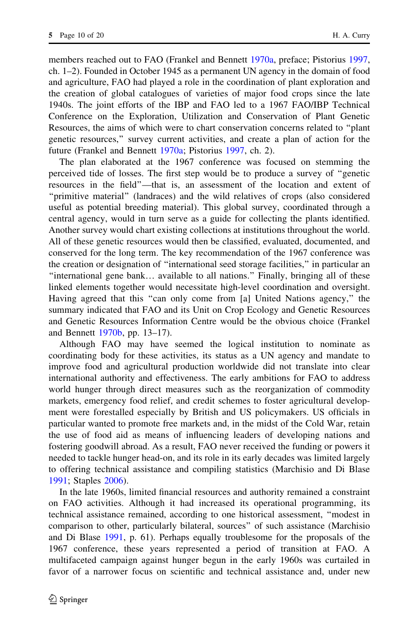members reached out to FAO (Frankel and Bennett [1970a](#page-18-0), preface; Pistorius [1997,](#page-18-0) ch. 1–2). Founded in October 1945 as a permanent UN agency in the domain of food and agriculture, FAO had played a role in the coordination of plant exploration and the creation of global catalogues of varieties of major food crops since the late 1940s. The joint efforts of the IBP and FAO led to a 1967 FAO/IBP Technical Conference on the Exploration, Utilization and Conservation of Plant Genetic Resources, the aims of which were to chart conservation concerns related to ''plant genetic resources,'' survey current activities, and create a plan of action for the future (Frankel and Bennett [1970a](#page-18-0); Pistorius [1997,](#page-18-0) ch. 2).

The plan elaborated at the 1967 conference was focused on stemming the perceived tide of losses. The first step would be to produce a survey of ''genetic resources in the field''—that is, an assessment of the location and extent of ''primitive material'' (landraces) and the wild relatives of crops (also considered useful as potential breeding material). This global survey, coordinated through a central agency, would in turn serve as a guide for collecting the plants identified. Another survey would chart existing collections at institutions throughout the world. All of these genetic resources would then be classified, evaluated, documented, and conserved for the long term. The key recommendation of the 1967 conference was the creation or designation of ''international seed storage facilities,'' in particular an ''international gene bank… available to all nations.'' Finally, bringing all of these linked elements together would necessitate high-level coordination and oversight. Having agreed that this ''can only come from [a] United Nations agency,'' the summary indicated that FAO and its Unit on Crop Ecology and Genetic Resources and Genetic Resources Information Centre would be the obvious choice (Frankel and Bennett [1970b](#page-18-0), pp. 13–17).

Although FAO may have seemed the logical institution to nominate as coordinating body for these activities, its status as a UN agency and mandate to improve food and agricultural production worldwide did not translate into clear international authority and effectiveness. The early ambitions for FAO to address world hunger through direct measures such as the reorganization of commodity markets, emergency food relief, and credit schemes to foster agricultural development were forestalled especially by British and US policymakers. US officials in particular wanted to promote free markets and, in the midst of the Cold War, retain the use of food aid as means of influencing leaders of developing nations and fostering goodwill abroad. As a result, FAO never received the funding or powers it needed to tackle hunger head-on, and its role in its early decades was limited largely to offering technical assistance and compiling statistics (Marchisio and Di Blase [1991;](#page-18-0) Staples [2006](#page-19-0)).

In the late 1960s, limited financial resources and authority remained a constraint on FAO activities. Although it had increased its operational programming, its technical assistance remained, according to one historical assessment, ''modest in comparison to other, particularly bilateral, sources'' of such assistance (Marchisio and Di Blase [1991,](#page-18-0) p. 61). Perhaps equally troublesome for the proposals of the 1967 conference, these years represented a period of transition at FAO. A multifaceted campaign against hunger begun in the early 1960s was curtailed in favor of a narrower focus on scientific and technical assistance and, under new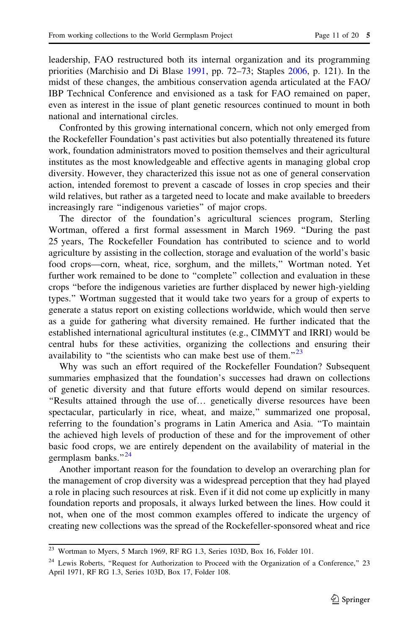leadership, FAO restructured both its internal organization and its programming priorities (Marchisio and Di Blase [1991](#page-18-0), pp. 72–73; Staples [2006](#page-19-0), p. 121). In the midst of these changes, the ambitious conservation agenda articulated at the FAO/ IBP Technical Conference and envisioned as a task for FAO remained on paper, even as interest in the issue of plant genetic resources continued to mount in both national and international circles.

Confronted by this growing international concern, which not only emerged from the Rockefeller Foundation's past activities but also potentially threatened its future work, foundation administrators moved to position themselves and their agricultural institutes as the most knowledgeable and effective agents in managing global crop diversity. However, they characterized this issue not as one of general conservation action, intended foremost to prevent a cascade of losses in crop species and their wild relatives, but rather as a targeted need to locate and make available to breeders increasingly rare ''indigenous varieties'' of major crops.

The director of the foundation's agricultural sciences program, Sterling Wortman, offered a first formal assessment in March 1969. ''During the past 25 years, The Rockefeller Foundation has contributed to science and to world agriculture by assisting in the collection, storage and evaluation of the world's basic food crops—corn, wheat, rice, sorghum, and the millets,'' Wortman noted. Yet further work remained to be done to ''complete'' collection and evaluation in these crops ''before the indigenous varieties are further displaced by newer high-yielding types.'' Wortman suggested that it would take two years for a group of experts to generate a status report on existing collections worldwide, which would then serve as a guide for gathering what diversity remained. He further indicated that the established international agricultural institutes (e.g., CIMMYT and IRRI) would be central hubs for these activities, organizing the collections and ensuring their availability to "the scientists who can make best use of them." $^{23}$ 

Why was such an effort required of the Rockefeller Foundation? Subsequent summaries emphasized that the foundation's successes had drawn on collections of genetic diversity and that future efforts would depend on similar resources. ''Results attained through the use of… genetically diverse resources have been spectacular, particularly in rice, wheat, and maize,'' summarized one proposal, referring to the foundation's programs in Latin America and Asia. ''To maintain the achieved high levels of production of these and for the improvement of other basic food crops, we are entirely dependent on the availability of material in the germplasm banks."<sup>24</sup>

Another important reason for the foundation to develop an overarching plan for the management of crop diversity was a widespread perception that they had played a role in placing such resources at risk. Even if it did not come up explicitly in many foundation reports and proposals, it always lurked between the lines. How could it not, when one of the most common examples offered to indicate the urgency of creating new collections was the spread of the Rockefeller-sponsored wheat and rice

<sup>23</sup> Wortman to Myers, 5 March 1969, RF RG 1.3, Series 103D, Box 16, Folder 101.

 $24$  Lewis Roberts, "Request for Authorization to Proceed with the Organization of a Conference," 23 April 1971, RF RG 1.3, Series 103D, Box 17, Folder 108.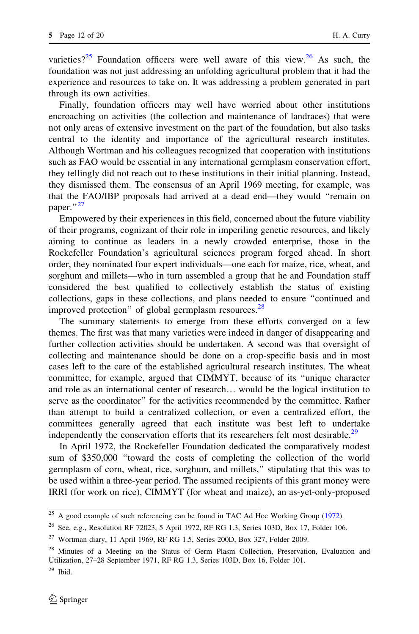varieties?<sup>25</sup> Foundation officers were well aware of this view.<sup>26</sup> As such, the foundation was not just addressing an unfolding agricultural problem that it had the experience and resources to take on. It was addressing a problem generated in part through its own activities.

Finally, foundation officers may well have worried about other institutions encroaching on activities (the collection and maintenance of landraces) that were not only areas of extensive investment on the part of the foundation, but also tasks central to the identity and importance of the agricultural research institutes. Although Wortman and his colleagues recognized that cooperation with institutions such as FAO would be essential in any international germplasm conservation effort, they tellingly did not reach out to these institutions in their initial planning. Instead, they dismissed them. The consensus of an April 1969 meeting, for example, was that the FAO/IBP proposals had arrived at a dead end—they would ''remain on paper."<sup>27</sup>

Empowered by their experiences in this field, concerned about the future viability of their programs, cognizant of their role in imperiling genetic resources, and likely aiming to continue as leaders in a newly crowded enterprise, those in the Rockefeller Foundation's agricultural sciences program forged ahead. In short order, they nominated four expert individuals—one each for maize, rice, wheat, and sorghum and millets—who in turn assembled a group that he and Foundation staff considered the best qualified to collectively establish the status of existing collections, gaps in these collections, and plans needed to ensure ''continued and improved protection" of global germplasm resources. $^{28}$ 

The summary statements to emerge from these efforts converged on a few themes. The first was that many varieties were indeed in danger of disappearing and further collection activities should be undertaken. A second was that oversight of collecting and maintenance should be done on a crop-specific basis and in most cases left to the care of the established agricultural research institutes. The wheat committee, for example, argued that CIMMYT, because of its ''unique character and role as an international center of research… would be the logical institution to serve as the coordinator'' for the activities recommended by the committee. Rather than attempt to build a centralized collection, or even a centralized effort, the committees generally agreed that each institute was best left to undertake independently the conservation efforts that its researchers felt most desirable.<sup>29</sup>

In April 1972, the Rockefeller Foundation dedicated the comparatively modest sum of \$350,000 ''toward the costs of completing the collection of the world germplasm of corn, wheat, rice, sorghum, and millets,'' stipulating that this was to be used within a three-year period. The assumed recipients of this grant money were IRRI (for work on rice), CIMMYT (for wheat and maize), an as-yet-only-proposed

 $25$  A good example of such referencing can be found in TAC Ad Hoc Working Group [\(1972](#page-19-0)).

<sup>26</sup> See, e.g., Resolution RF 72023, 5 April 1972, RF RG 1.3, Series 103D, Box 17, Folder 106.

<sup>27</sup> Wortman diary, 11 April 1969, RF RG 1.5, Series 200D, Box 327, Folder 2009.

<sup>&</sup>lt;sup>28</sup> Minutes of a Meeting on the Status of Germ Plasm Collection, Preservation, Evaluation and Utilization, 27–28 September 1971, RF RG 1.3, Series 103D, Box 16, Folder 101.  $29$  Ibid.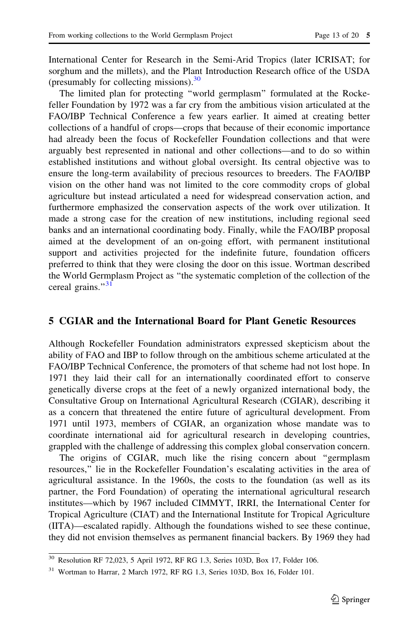International Center for Research in the Semi-Arid Tropics (later ICRISAT; for sorghum and the millets), and the Plant Introduction Research office of the USDA (presumably for collecting missions).<sup>30</sup>

The limited plan for protecting ''world germplasm'' formulated at the Rockefeller Foundation by 1972 was a far cry from the ambitious vision articulated at the FAO/IBP Technical Conference a few years earlier. It aimed at creating better collections of a handful of crops—crops that because of their economic importance had already been the focus of Rockefeller Foundation collections and that were arguably best represented in national and other collections—and to do so within established institutions and without global oversight. Its central objective was to ensure the long-term availability of precious resources to breeders. The FAO/IBP vision on the other hand was not limited to the core commodity crops of global agriculture but instead articulated a need for widespread conservation action, and furthermore emphasized the conservation aspects of the work over utilization. It made a strong case for the creation of new institutions, including regional seed banks and an international coordinating body. Finally, while the FAO/IBP proposal aimed at the development of an on-going effort, with permanent institutional support and activities projected for the indefinite future, foundation officers preferred to think that they were closing the door on this issue. Wortman described the World Germplasm Project as ''the systematic completion of the collection of the cereal grains."<sup>31</sup>

#### 5 CGIAR and the International Board for Plant Genetic Resources

Although Rockefeller Foundation administrators expressed skepticism about the ability of FAO and IBP to follow through on the ambitious scheme articulated at the FAO/IBP Technical Conference, the promoters of that scheme had not lost hope. In 1971 they laid their call for an internationally coordinated effort to conserve genetically diverse crops at the feet of a newly organized international body, the Consultative Group on International Agricultural Research (CGIAR), describing it as a concern that threatened the entire future of agricultural development. From 1971 until 1973, members of CGIAR, an organization whose mandate was to coordinate international aid for agricultural research in developing countries, grappled with the challenge of addressing this complex global conservation concern.

The origins of CGIAR, much like the rising concern about ''germplasm resources,'' lie in the Rockefeller Foundation's escalating activities in the area of agricultural assistance. In the 1960s, the costs to the foundation (as well as its partner, the Ford Foundation) of operating the international agricultural research institutes—which by 1967 included CIMMYT, IRRI, the International Center for Tropical Agriculture (CIAT) and the International Institute for Tropical Agriculture (IITA)—escalated rapidly. Although the foundations wished to see these continue, they did not envision themselves as permanent financial backers. By 1969 they had

<sup>30</sup> Resolution RF 72,023, 5 April 1972, RF RG 1.3, Series 103D, Box 17, Folder 106.

<sup>&</sup>lt;sup>31</sup> Wortman to Harrar, 2 March 1972, RF RG 1.3, Series 103D, Box 16, Folder 101.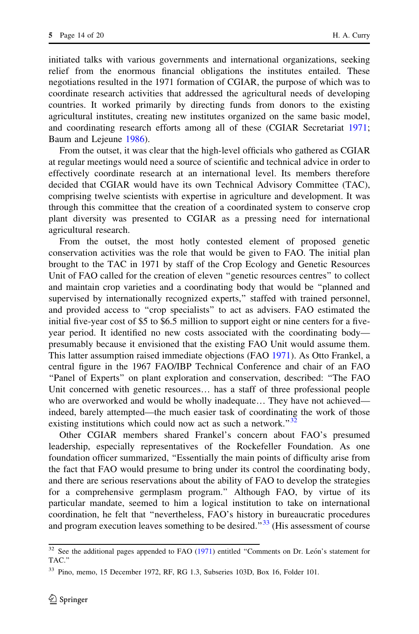initiated talks with various governments and international organizations, seeking relief from the enormous financial obligations the institutes entailed. These negotiations resulted in the 1971 formation of CGIAR, the purpose of which was to coordinate research activities that addressed the agricultural needs of developing countries. It worked primarily by directing funds from donors to the existing agricultural institutes, creating new institutes organized on the same basic model, and coordinating research efforts among all of these (CGIAR Secretariat [1971;](#page-17-0) Baum and Leieune [1986\)](#page-17-0).

From the outset, it was clear that the high-level officials who gathered as CGIAR at regular meetings would need a source of scientific and technical advice in order to effectively coordinate research at an international level. Its members therefore decided that CGIAR would have its own Technical Advisory Committee (TAC), comprising twelve scientists with expertise in agriculture and development. It was through this committee that the creation of a coordinated system to conserve crop plant diversity was presented to CGIAR as a pressing need for international agricultural research.

From the outset, the most hotly contested element of proposed genetic conservation activities was the role that would be given to FAO. The initial plan brought to the TAC in 1971 by staff of the Crop Ecology and Genetic Resources Unit of FAO called for the creation of eleven ''genetic resources centres'' to collect and maintain crop varieties and a coordinating body that would be ''planned and supervised by internationally recognized experts,'' staffed with trained personnel, and provided access to ''crop specialists'' to act as advisers. FAO estimated the initial five-year cost of \$5 to \$6.5 million to support eight or nine centers for a fiveyear period. It identified no new costs associated with the coordinating body presumably because it envisioned that the existing FAO Unit would assume them. This latter assumption raised immediate objections (FAO [1971](#page-18-0)). As Otto Frankel, a central figure in the 1967 FAO/IBP Technical Conference and chair of an FAO ''Panel of Experts'' on plant exploration and conservation, described: ''The FAO Unit concerned with genetic resources… has a staff of three professional people who are overworked and would be wholly inadequate... They have not achieved indeed, barely attempted—the much easier task of coordinating the work of those existing institutions which could now act as such a network."<sup>32</sup>

Other CGIAR members shared Frankel's concern about FAO's presumed leadership, especially representatives of the Rockefeller Foundation. As one foundation officer summarized, ''Essentially the main points of difficulty arise from the fact that FAO would presume to bring under its control the coordinating body, and there are serious reservations about the ability of FAO to develop the strategies for a comprehensive germplasm program.'' Although FAO, by virtue of its particular mandate, seemed to him a logical institution to take on international coordination, he felt that ''nevertheless, FAO's history in bureaucratic procedures and program execution leaves something to be desired.<sup>33</sup> (His assessment of course

<sup>&</sup>lt;sup>32</sup> See the additional pages appended to FAO [\(1971\)](#page-18-0) entitled "Comments on Dr. León's statement for TAC.''

<sup>&</sup>lt;sup>33</sup> Pino, memo, 15 December 1972, RF, RG 1.3, Subseries 103D, Box 16, Folder 101.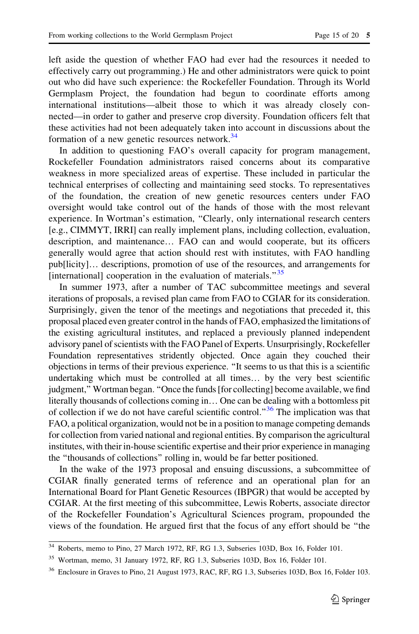left aside the question of whether FAO had ever had the resources it needed to effectively carry out programming.) He and other administrators were quick to point out who did have such experience: the Rockefeller Foundation. Through its World Germplasm Project, the foundation had begun to coordinate efforts among international institutions—albeit those to which it was already closely connected—in order to gather and preserve crop diversity. Foundation officers felt that these activities had not been adequately taken into account in discussions about the formation of a new genetic resources network. $34$ 

In addition to questioning FAO's overall capacity for program management, Rockefeller Foundation administrators raised concerns about its comparative weakness in more specialized areas of expertise. These included in particular the technical enterprises of collecting and maintaining seed stocks. To representatives of the foundation, the creation of new genetic resources centers under FAO oversight would take control out of the hands of those with the most relevant experience. In Wortman's estimation, ''Clearly, only international research centers [e.g., CIMMYT, IRRI] can really implement plans, including collection, evaluation, description, and maintenance… FAO can and would cooperate, but its officers generally would agree that action should rest with institutes, with FAO handling pub[licity]… descriptions, promotion of use of the resources, and arrangements for [international] cooperation in the evaluation of materials."<sup>35</sup>

In summer 1973, after a number of TAC subcommittee meetings and several iterations of proposals, a revised plan came from FAO to CGIAR for its consideration. Surprisingly, given the tenor of the meetings and negotiations that preceded it, this proposal placed even greater control in the hands of FAO, emphasized the limitations of the existing agricultural institutes, and replaced a previously planned independent advisory panel of scientists with the FAO Panel of Experts. Unsurprisingly, Rockefeller Foundation representatives stridently objected. Once again they couched their objections in terms of their previous experience. ''It seems to us that this is a scientific undertaking which must be controlled at all times… by the very best scientific judgment," Wortman began. "Once the funds [for collecting] become available, we find literally thousands of collections coming in… One can be dealing with a bottomless pit of collection if we do not have careful scientific control."<sup>36</sup> The implication was that FAO, a political organization, would not be in a position to manage competing demands for collection from varied national and regional entities. By comparison the agricultural institutes, with their in-house scientific expertise and their prior experience in managing the ''thousands of collections'' rolling in, would be far better positioned.

In the wake of the 1973 proposal and ensuing discussions, a subcommittee of CGIAR finally generated terms of reference and an operational plan for an International Board for Plant Genetic Resources (IBPGR) that would be accepted by CGIAR. At the first meeting of this subcommittee, Lewis Roberts, associate director of the Rockefeller Foundation's Agricultural Sciences program, propounded the views of the foundation. He argued first that the focus of any effort should be ''the

<sup>&</sup>lt;sup>34</sup> Roberts, memo to Pino, 27 March 1972, RF, RG 1.3, Subseries 103D, Box 16, Folder 101.

<sup>35</sup> Wortman, memo, 31 January 1972, RF, RG 1.3, Subseries 103D, Box 16, Folder 101.

<sup>&</sup>lt;sup>36</sup> Enclosure in Graves to Pino, 21 August 1973, RAC, RF, RG 1.3, Subseries 103D, Box 16, Folder 103.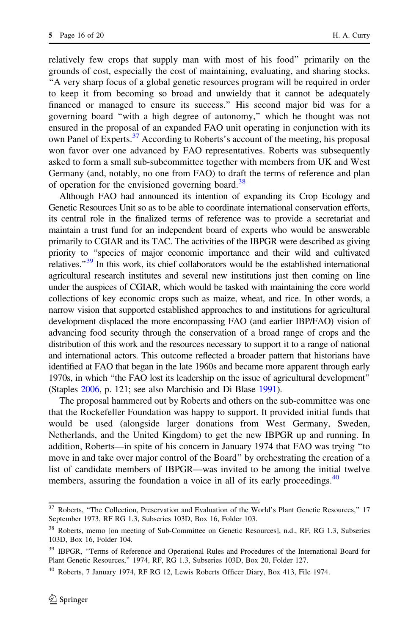relatively few crops that supply man with most of his food'' primarily on the grounds of cost, especially the cost of maintaining, evaluating, and sharing stocks. ''A very sharp focus of a global genetic resources program will be required in order to keep it from becoming so broad and unwieldy that it cannot be adequately financed or managed to ensure its success.'' His second major bid was for a governing board ''with a high degree of autonomy,'' which he thought was not ensured in the proposal of an expanded FAO unit operating in conjunction with its own Panel of Experts.<sup>37</sup> According to Roberts's account of the meeting, his proposal won favor over one advanced by FAO representatives. Roberts was subsequently asked to form a small sub-subcommittee together with members from UK and West Germany (and, notably, no one from FAO) to draft the terms of reference and plan of operation for the envisioned governing board.<sup>38</sup>

Although FAO had announced its intention of expanding its Crop Ecology and Genetic Resources Unit so as to be able to coordinate international conservation efforts, its central role in the finalized terms of reference was to provide a secretariat and maintain a trust fund for an independent board of experts who would be answerable primarily to CGIAR and its TAC. The activities of the IBPGR were described as giving priority to ''species of major economic importance and their wild and cultivated relatives."<sup>39</sup> In this work, its chief collaborators would be the established international agricultural research institutes and several new institutions just then coming on line under the auspices of CGIAR, which would be tasked with maintaining the core world collections of key economic crops such as maize, wheat, and rice. In other words, a narrow vision that supported established approaches to and institutions for agricultural development displaced the more encompassing FAO (and earlier IBP/FAO) vision of advancing food security through the conservation of a broad range of crops and the distribution of this work and the resources necessary to support it to a range of national and international actors. This outcome reflected a broader pattern that historians have identified at FAO that began in the late 1960s and became more apparent through early 1970s, in which ''the FAO lost its leadership on the issue of agricultural development'' (Staples [2006](#page-19-0), p. 121; see also Marchisio and Di Blase [1991\)](#page-18-0).

The proposal hammered out by Roberts and others on the sub-committee was one that the Rockefeller Foundation was happy to support. It provided initial funds that would be used (alongside larger donations from West Germany, Sweden, Netherlands, and the United Kingdom) to get the new IBPGR up and running. In addition, Roberts—in spite of his concern in January 1974 that FAO was trying ''to move in and take over major control of the Board'' by orchestrating the creation of a list of candidate members of IBPGR—was invited to be among the initial twelve members, assuring the foundation a voice in all of its early proceedings.<sup>40</sup>

<sup>&</sup>lt;sup>37</sup> Roberts, "The Collection, Preservation and Evaluation of the World's Plant Genetic Resources," 17 September 1973, RF RG 1.3, Subseries 103D, Box 16, Folder 103.

<sup>38</sup> Roberts, memo [on meeting of Sub-Committee on Genetic Resources], n.d., RF, RG 1.3, Subseries 103D, Box 16, Folder 104.

<sup>&</sup>lt;sup>39</sup> IBPGR, "Terms of Reference and Operational Rules and Procedures of the International Board for Plant Genetic Resources,'' 1974, RF, RG 1.3, Subseries 103D, Box 20, Folder 127.

<sup>40</sup> Roberts, 7 January 1974, RF RG 12, Lewis Roberts Officer Diary, Box 413, File 1974.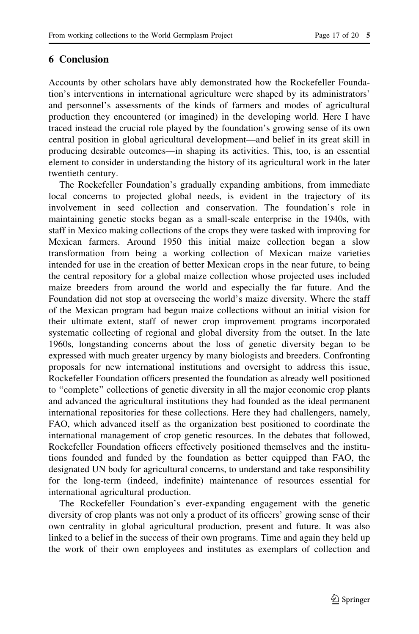# 6 Conclusion

Accounts by other scholars have ably demonstrated how the Rockefeller Foundation's interventions in international agriculture were shaped by its administrators' and personnel's assessments of the kinds of farmers and modes of agricultural production they encountered (or imagined) in the developing world. Here I have traced instead the crucial role played by the foundation's growing sense of its own central position in global agricultural development—and belief in its great skill in producing desirable outcomes—in shaping its activities. This, too, is an essential element to consider in understanding the history of its agricultural work in the later twentieth century.

The Rockefeller Foundation's gradually expanding ambitions, from immediate local concerns to projected global needs, is evident in the trajectory of its involvement in seed collection and conservation. The foundation's role in maintaining genetic stocks began as a small-scale enterprise in the 1940s, with staff in Mexico making collections of the crops they were tasked with improving for Mexican farmers. Around 1950 this initial maize collection began a slow transformation from being a working collection of Mexican maize varieties intended for use in the creation of better Mexican crops in the near future, to being the central repository for a global maize collection whose projected uses included maize breeders from around the world and especially the far future. And the Foundation did not stop at overseeing the world's maize diversity. Where the staff of the Mexican program had begun maize collections without an initial vision for their ultimate extent, staff of newer crop improvement programs incorporated systematic collecting of regional and global diversity from the outset. In the late 1960s, longstanding concerns about the loss of genetic diversity began to be expressed with much greater urgency by many biologists and breeders. Confronting proposals for new international institutions and oversight to address this issue, Rockefeller Foundation officers presented the foundation as already well positioned to ''complete'' collections of genetic diversity in all the major economic crop plants and advanced the agricultural institutions they had founded as the ideal permanent international repositories for these collections. Here they had challengers, namely, FAO, which advanced itself as the organization best positioned to coordinate the international management of crop genetic resources. In the debates that followed, Rockefeller Foundation officers effectively positioned themselves and the institutions founded and funded by the foundation as better equipped than FAO, the designated UN body for agricultural concerns, to understand and take responsibility for the long-term (indeed, indefinite) maintenance of resources essential for international agricultural production.

The Rockefeller Foundation's ever-expanding engagement with the genetic diversity of crop plants was not only a product of its officers' growing sense of their own centrality in global agricultural production, present and future. It was also linked to a belief in the success of their own programs. Time and again they held up the work of their own employees and institutes as exemplars of collection and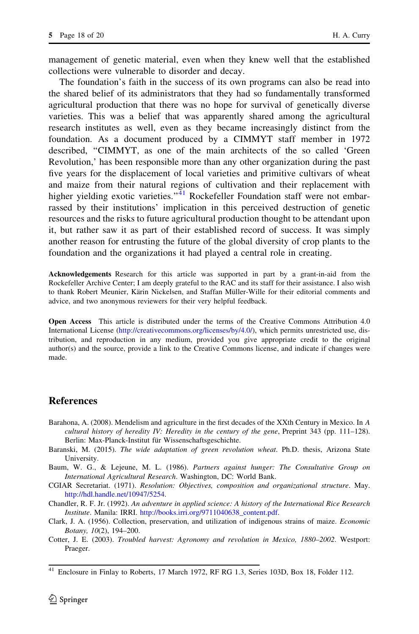<span id="page-17-0"></span>management of genetic material, even when they knew well that the established collections were vulnerable to disorder and decay.

The foundation's faith in the success of its own programs can also be read into the shared belief of its administrators that they had so fundamentally transformed agricultural production that there was no hope for survival of genetically diverse varieties. This was a belief that was apparently shared among the agricultural research institutes as well, even as they became increasingly distinct from the foundation. As a document produced by a CIMMYT staff member in 1972 described, ''CIMMYT, as one of the main architects of the so called 'Green Revolution,' has been responsible more than any other organization during the past five years for the displacement of local varieties and primitive cultivars of wheat and maize from their natural regions of cultivation and their replacement with higher yielding exotic varieties."<sup>41</sup> Rockefeller Foundation staff were not embarrassed by their institutions' implication in this perceived destruction of genetic resources and the risks to future agricultural production thought to be attendant upon it, but rather saw it as part of their established record of success. It was simply another reason for entrusting the future of the global diversity of crop plants to the foundation and the organizations it had played a central role in creating.

Acknowledgements Research for this article was supported in part by a grant-in-aid from the Rockefeller Archive Center; I am deeply grateful to the RAC and its staff for their assistance. I also wish to thank Robert Meunier, Kärin Nickelsen, and Staffan Müller-Wille for their editorial comments and advice, and two anonymous reviewers for their very helpful feedback.

Open Access This article is distributed under the terms of the Creative Commons Attribution 4.0 International License ([http://creativecommons.org/licenses/by/4.0/\)](http://creativecommons.org/licenses/by/4.0/), which permits unrestricted use, distribution, and reproduction in any medium, provided you give appropriate credit to the original author(s) and the source, provide a link to the Creative Commons license, and indicate if changes were made.

#### References

- Barahona, A. (2008). Mendelism and agriculture in the first decades of the XXth Century in Mexico. In A cultural history of heredity IV: Heredity in the century of the gene, Preprint 343 (pp. 111–128). Berlin: Max-Planck-Institut für Wissenschaftsgeschichte.
- Baranski, M. (2015). The wide adaptation of green revolution wheat. Ph.D. thesis, Arizona State University.
- Baum, W. G., & Lejeune, M. L. (1986). Partners against hunger: The Consultative Group on International Agricultural Research. Washington, DC: World Bank.
- CGIAR Secretariat. (1971). Resolution: Objectives, composition and organizational structure. May. [http://hdl.handle.net/10947/5254.](http://hdl.handle.net/10947/5254)
- Chandler, R. F. Jr. (1992). An adventure in applied science: A history of the International Rice Research Institute. Manila: IRRI. [http://books.irri.org/9711040638\\_content.pdf](http://books.irri.org/9711040638_content.pdf).
- Clark, J. A. (1956). Collection, preservation, and utilization of indigenous strains of maize. Economic Botany, 10(2), 194–200.
- Cotter, J. E. (2003). Troubled harvest: Agronomy and revolution in Mexico, 1880–2002. Westport: Praeger.

<sup>&</sup>lt;sup>41</sup> Enclosure in Finlay to Roberts, 17 March 1972, RF RG 1.3, Series 103D, Box 18, Folder 112.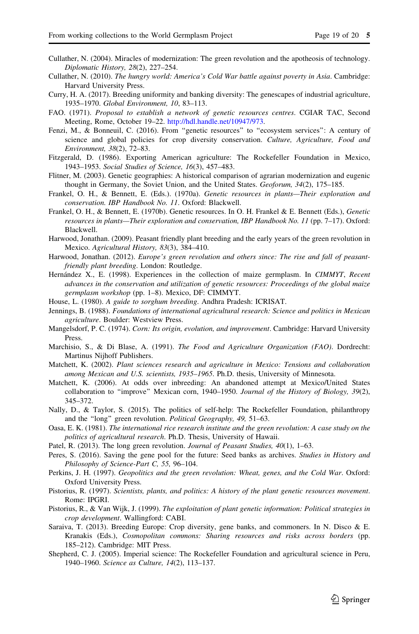- <span id="page-18-0"></span>Cullather, N. (2004). Miracles of modernization: The green revolution and the apotheosis of technology. Diplomatic History, 28(2), 227–254.
- Cullather, N. (2010). The hungry world: America's Cold War battle against poverty in Asia. Cambridge: Harvard University Press.
- Curry, H. A. (2017). Breeding uniformity and banking diversity: The genescapes of industrial agriculture, 1935–1970. Global Environment, 10, 83–113.
- FAO. (1971). Proposal to establish a network of genetic resources centres. CGIAR TAC, Second Meeting, Rome, October 19–22. <http://hdl.handle.net/10947/973>.
- Fenzi, M., & Bonneuil, C. (2016). From "genetic resources" to "ecosystem services": A century of science and global policies for crop diversity conservation. Culture, Agriculture, Food and Environment, 38(2), 72–83.
- Fitzgerald, D. (1986). Exporting American agriculture: The Rockefeller Foundation in Mexico, 1943–1953. Social Studies of Science, 16(3), 457–483.
- Flitner, M. (2003). Genetic geographies: A historical comparison of agrarian modernization and eugenic thought in Germany, the Soviet Union, and the United States. Geoforum, 34(2), 175–185.
- Frankel, O. H., & Bennett, E. (Eds.). (1970a). Genetic resources in plants—Their exploration and conservation. IBP Handbook No. 11. Oxford: Blackwell.
- Frankel, O. H., & Bennett, E. (1970b). Genetic resources. In O. H. Frankel & E. Bennett (Eds.), Genetic resources in plants—Their exploration and conservation, IBP Handbook No. 11 (pp. 7–17). Oxford: Blackwell.
- Harwood, Jonathan. (2009). Peasant friendly plant breeding and the early years of the green revolution in Mexico. Agricultural History, 83(3), 384–410.
- Harwood, Jonathan. (2012). Europe's green revolution and others since: The rise and fall of peasantfriendly plant breeding. London: Routledge.
- Hernández X., E. (1998). Experiences in the collection of maize germplasm. In CIMMYT, Recent advances in the conservation and utilization of genetic resources: Proceedings of the global maize germplasm workshop (pp. 1–8). Mexico, DF: CIMMYT.
- House, L. (1980). A guide to sorghum breeding. Andhra Pradesh: ICRISAT.
- Jennings, B. (1988). Foundations of international agricultural research: Science and politics in Mexican agriculture. Boulder: Westview Press.
- Mangelsdorf, P. C. (1974). Corn: Its origin, evolution, and improvement. Cambridge: Harvard University Press.
- Marchisio, S., & Di Blase, A. (1991). The Food and Agriculture Organization (FAO). Dordrecht: Martinus Nijhoff Publishers.
- Matchett, K. (2002). Plant sciences research and agriculture in Mexico: Tensions and collaboration among Mexican and U.S. scientists, 1935–1965. Ph.D. thesis, University of Minnesota.
- Matchett, K. (2006). At odds over inbreeding: An abandoned attempt at Mexico/United States collaboration to ''improve'' Mexican corn, 1940–1950. Journal of the History of Biology, 39(2), 345–372.
- Nally, D., & Taylor, S. (2015). The politics of self-help: The Rockefeller Foundation, philanthropy and the ''long'' green revolution. Political Geography, 49, 51–63.
- Oasa, E. K. (1981). The international rice research institute and the green revolution: A case study on the politics of agricultural research. Ph.D. Thesis, University of Hawaii.
- Patel, R. (2013). The long green revolution. Journal of Peasant Studies, 40(1), 1–63.
- Peres, S. (2016). Saving the gene pool for the future: Seed banks as archives. Studies in History and Philosophy of Science-Part C, 55, 96–104.
- Perkins, J. H. (1997). Geopolitics and the green revolution: Wheat, genes, and the Cold War. Oxford: Oxford University Press.
- Pistorius, R. (1997). Scientists, plants, and politics: A history of the plant genetic resources movement. Rome: IPGRI.
- Pistorius, R., & Van Wijk, J. (1999). The exploitation of plant genetic information: Political strategies in crop development. Wallingford: CABI.
- Saraiva, T. (2013). Breeding Europe: Crop diversity, gene banks, and commoners. In N. Disco & E. Kranakis (Eds.), Cosmopolitan commons: Sharing resources and risks across borders (pp. 185–212). Cambridge: MIT Press.
- Shepherd, C. J. (2005). Imperial science: The Rockefeller Foundation and agricultural science in Peru, 1940–1960. Science as Culture, 14(2), 113–137.